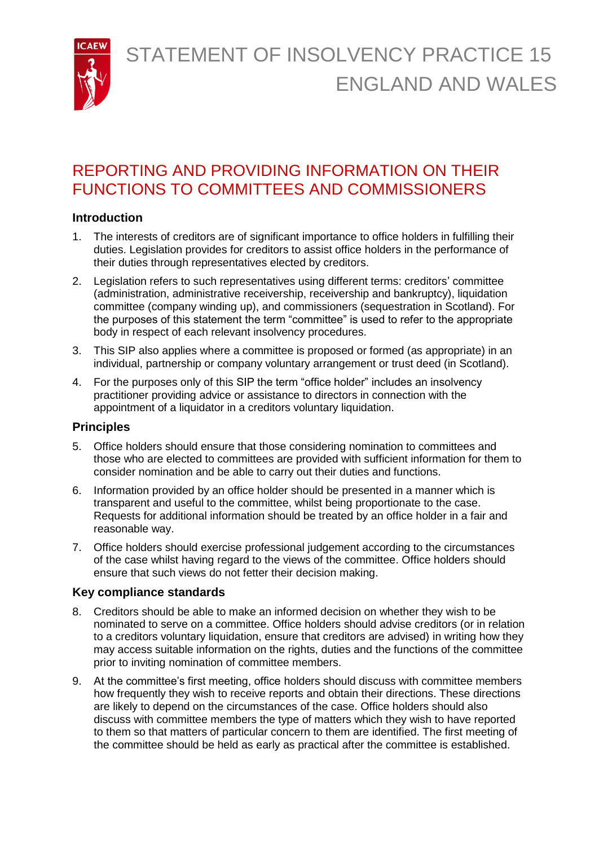STATEMENT OF INSOLVENCY PRACTICE 15 ENGLAND AND WALES



## REPORTING AND PROVIDING INFORMATION ON THEIR FUNCTIONS TO COMMITTEES AND COMMISSIONERS

## **Introduction**

- 1. The interests of creditors are of significant importance to office holders in fulfilling their duties. Legislation provides for creditors to assist office holders in the performance of their duties through representatives elected by creditors.
- 2. Legislation refers to such representatives using different terms: creditors' committee (administration, administrative receivership, receivership and bankruptcy), liquidation committee (company winding up), and commissioners (sequestration in Scotland). For the purposes of this statement the term "committee" is used to refer to the appropriate body in respect of each relevant insolvency procedures.
- 3. This SIP also applies where a committee is proposed or formed (as appropriate) in an individual, partnership or company voluntary arrangement or trust deed (in Scotland).
- 4. For the purposes only of this SIP the term "office holder" includes an insolvency practitioner providing advice or assistance to directors in connection with the appointment of a liquidator in a creditors voluntary liquidation.

## **Principles**

- 5. Office holders should ensure that those considering nomination to committees and those who are elected to committees are provided with sufficient information for them to consider nomination and be able to carry out their duties and functions.
- 6. Information provided by an office holder should be presented in a manner which is transparent and useful to the committee, whilst being proportionate to the case. Requests for additional information should be treated by an office holder in a fair and reasonable way.
- 7. Office holders should exercise professional judgement according to the circumstances of the case whilst having regard to the views of the committee. Office holders should ensure that such views do not fetter their decision making.

## **Key compliance standards**

- 8. Creditors should be able to make an informed decision on whether they wish to be nominated to serve on a committee. Office holders should advise creditors (or in relation to a creditors voluntary liquidation, ensure that creditors are advised) in writing how they may access suitable information on the rights, duties and the functions of the committee prior to inviting nomination of committee members.
- 9. At the committee's first meeting, office holders should discuss with committee members how frequently they wish to receive reports and obtain their directions. These directions are likely to depend on the circumstances of the case. Office holders should also discuss with committee members the type of matters which they wish to have reported to them so that matters of particular concern to them are identified. The first meeting of the committee should be held as early as practical after the committee is established.